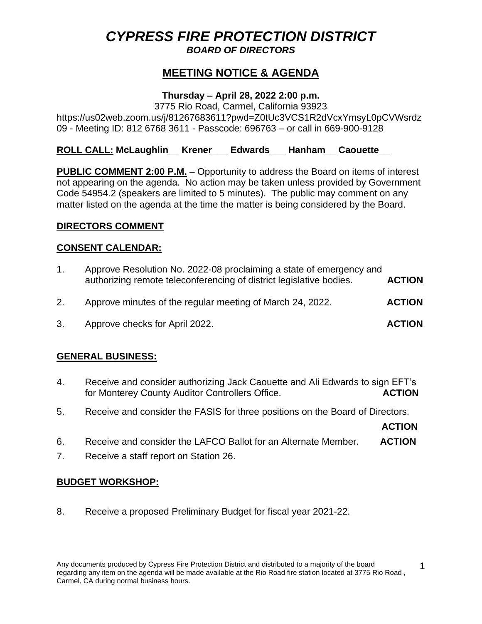# *CYPRESS FIRE PROTECTION DISTRICT*

### *BOARD OF DIRECTORS*

# **MEETING NOTICE & AGENDA**

# **Thursday – April 28, 2022 2:00 p.m.**

3775 Rio Road, Carmel, California 93923 https://us02web.zoom.us/j/81267683611?pwd=Z0tUc3VCS1R2dVcxYmsyL0pCVWsrdz 09 - Meeting ID: 812 6768 3611 - Passcode: 696763 – or call in 669-900-9128

# **ROLL CALL: McLaughlin\_\_ Krener\_\_\_ Edwards\_\_\_ Hanham\_\_ Caouette\_\_**

**PUBLIC COMMENT 2:00 P.M.** – Opportunity to address the Board on items of interest not appearing on the agenda. No action may be taken unless provided by Government Code 54954.2 (speakers are limited to 5 minutes). The public may comment on any matter listed on the agenda at the time the matter is being considered by the Board.

#### **DIRECTORS COMMENT**

#### **CONSENT CALENDAR:**

| .1. | Approve Resolution No. 2022-08 proclaiming a state of emergency and<br>authorizing remote teleconferencing of district legislative bodies. | <b>ACTION</b> |
|-----|--------------------------------------------------------------------------------------------------------------------------------------------|---------------|
| 2.  | Approve minutes of the regular meeting of March 24, 2022.                                                                                  | <b>ACTION</b> |
| 3.  | Approve checks for April 2022.                                                                                                             | <b>ACTION</b> |

### **GENERAL BUSINESS:**

- 4. Receive and consider authorizing Jack Caouette and Ali Edwards to sign EFT's for Monterey County Auditor Controllers Office. **ACTION**
- 5. Receive and consider the FASIS for three positions on the Board of Directors.

**ACTION**

- 6. Receive and consider the LAFCO Ballot for an Alternate Member. **ACTION**
- 7. Receive a staff report on Station 26.

#### **BUDGET WORKSHOP:**

8. Receive a proposed Preliminary Budget for fiscal year 2021-22.

1